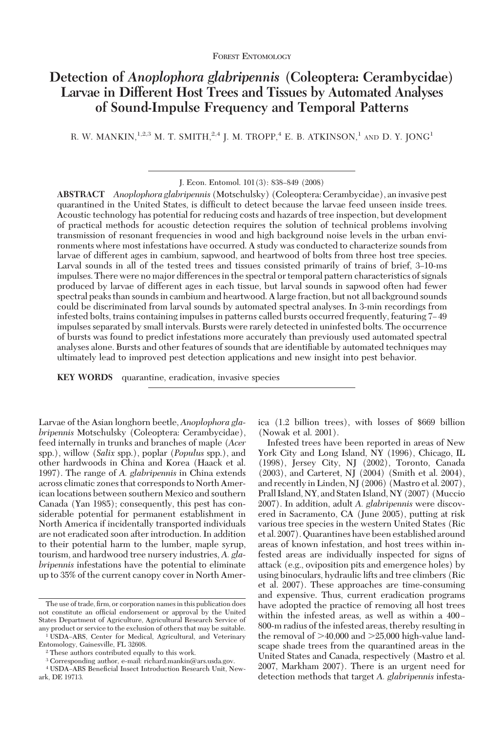# **Detection of** *Anoplophora glabripennis* **(Coleoptera: Cerambycidae) Larvae in Different Host Trees and Tissues by Automated Analyses of Sound-Impulse Frequency and Temporal Patterns**

R. W. MANKIN,<sup>1,2,3</sup> M. T. SMITH,<sup>2,4</sup> J. M. TROPP,<sup>4</sup> E. B. ATKINSON,<sup>1</sup> AND D. Y. JONG<sup>1</sup>

J. Econ. Entomol. 101(3): 838-849 (2008)

**ABSTRACT** *Anoplophora glabripennis* (Motschulsky) (Coleoptera: Cerambycidae), aninvasive pest quarantined in the United States, is difficult to detect because the larvae feed unseen inside trees. Acoustic technology has potential for reducing costs and hazards of tree inspection, but development of practical methods for acoustic detection requires the solution of technical problems involving transmission of resonant frequencies in wood and high background noise levels in the urban environments where most infestations have occurred. A study was conducted to characterize sounds from larvae of different ages in cambium, sapwood, and heartwood of bolts from three host tree species. Larval sounds in all of the tested trees and tissues consisted primarily of trains of brief, 3–10-ms impulses. There were no major differences in the spectral or temporal pattern characteristics of signals produced by larvae of different ages in each tissue, but larval sounds in sapwood often had fewer spectral peaks than sounds in cambium and heartwood. A large fraction, but not all background sounds could be discriminated from larval sounds by automated spectral analyses. In 3-min recordings from infested bolts, trains containing impulses in patterns called bursts occurred frequently, featuring 7–49 impulses separated by small intervals. Bursts were rarely detected in uninfested bolts. The occurrence of bursts was found to predict infestations more accurately than previously used automated spectral analyses alone. Bursts and other features of sounds that are identifiable by automated techniques may ultimately lead to improved pest detection applications and new insight into pest behavior.

**KEY WORDS** quarantine, eradication, invasive species

Larvae of the Asian longhorn beetle, *Anoplophora glabripennis* Motschulsky (Coleoptera: Cerambycidae), feed internally in trunks and branches of maple (*Acer* spp.), willow (*Salix* spp.), poplar (*Populus* spp.), and other hardwoods in China and Korea (Haack et al. 1997). The range of *A. glabripennis* in China extends across climatic zones that corresponds to North American locations between southern Mexico and southern Canada (Yan 1985); consequently, this pest has considerable potential for permanent establishment in North America if incidentally transported individuals are not eradicated soon after introduction. In addition to their potential harm to the lumber, maple syrup, tourism, and hardwood tree nursery industries, *A. glabripennis* infestations have the potential to eliminate up to 35% of the current canopy cover in North America (1.2 billion trees), with losses of \$669 billion (Nowak et al. 2001).

Infested trees have been reported in areas of New York City and Long Island, NY (1996), Chicago, IL (1998), Jersey City, NJ (2002), Toronto, Canada (2003), and Carteret, NJ (2004) (Smith et al. 2004), and recently in Linden, NJ (2006) (Mastro et al. 2007), Prall Island, NY, and Staten Island, NY (2007) (Muccio 2007). In addition, adult *A. glabripennis* were discovered in Sacramento, CA (June 2005), putting at risk various tree species in the western United States (Ric et al. 2007). Quarantines have been established around areas of known infestation, and host trees within infested areas are individually inspected for signs of attack (e.g., oviposition pits and emergence holes) by using binoculars, hydraulic lifts and tree climbers (Ric et al. 2007). These approaches are time-consuming and expensive. Thus, current eradication programs have adopted the practice of removing all host trees within the infested areas, as well as within a  $400 -$ 800-m radius of the infested areas, thereby resulting in the removal of  $>40,000$  and  $>25,000$  high-value landscape shade trees from the quarantined areas in the United States and Canada, respectively (Mastro et al. 2007, Markham 2007). There is an urgent need for detection methods that target *A. glabripennis* infesta-

The use of trade, firm, or corporation names in this publication does not constitute an official endorsement or approval by the United States Department of Agriculture, Agricultural Research Service of any product or service to the exclusion of others that may be suitable.

<sup>&</sup>lt;sup>1</sup> USDA-ARS, Center for Medical, Agricultural, and Veterinary Entomology, Gainesville, FL 32608.

<sup>2</sup> These authors contributed equally to this work.

<sup>3</sup> Corresponding author, e-mail: richard.mankin@ars.usda.gov.

<sup>&</sup>lt;sup>4</sup> USDA-ARS Beneficial Insect Introduction Research Unit, Newark, DE 19713.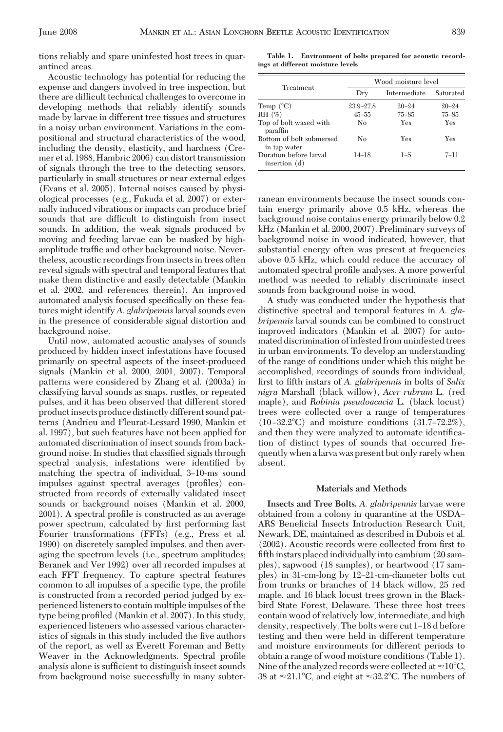tions reliably and spare uninfested host trees in quarantined areas.

Acoustic technology has potential for reducing the expense and dangers involved in tree inspection, but there are difficult technical challenges to overcome in developing methods that reliably identify sounds made by larvae in different tree tissues and structures in a noisy urban environment. Variations in the compositional and structural characteristics of the wood, including the density, elasticity, and hardness (Cremer et al. 1988, Hambric 2006) can distort transmission of signals through the tree to the detecting sensors, particularly in small structures or near external edges (Evans et al. 2005). Internal noises caused by physiological processes (e.g., Fukuda et al. 2007) or externally induced vibrations or impacts can produce brief sounds that are difficult to distinguish from insect sounds. In addition, the weak signals produced by moving and feeding larvae can be masked by highamplitude traffic and other background noise. Nevertheless, acoustic recordings from insects in trees often reveal signals with spectral and temporal features that make them distinctive and easily detectable (Mankin et al. 2002, and references therein). An improved automated analysis focused specifically on these features might identify *A. glabripennis*larval sounds even in the presence of considerable signal distortion and background noise.

Until now, automated acoustic analyses of sounds produced by hidden insect infestations have focused primarily on spectral aspects of the insect-produced signals (Mankin et al. 2000, 2001, 2007). Temporal patterns were considered by Zhang et al. (2003a) in classifying larval sounds as snaps, rustles, or repeated pulses, and it has been observed that different stored product insects produce distinctly different sound patterns (Andrieu and Fleurat-Lessard 1990, Mankin et al. 1997), but such features have not been applied for automated discrimination of insect sounds from background noise. In studies that classified signals through spectral analysis, infestations were identified by matching the spectra of individual, 3-10-ms sound impulses against spectral averages (profiles) constructed from records of externally validated insect sounds or background noises (Mankin et al. 2000, 2001). A spectral profile is constructed as an average power spectrum, calculated by first performing fast Fourier transformations (FFTs) (e.g., Press et al. 1990) on discretely sampled impulses, and then averaging the spectrum levels (i.e., spectrum amplitudes; Beranek and Ver 1992) over all recorded impulses at each FFT frequency. To capture spectral features common to all impulses of a specific type, the profile is constructed from a recorded period judged by experienced listeners to contain multiple impulses of the type being profiled (Mankin et al. 2007). In this study, experienced listeners who assessed various characteristics of signals in this study included the five authors of the report, as well as Everett Foreman and Betty Weaver in the Acknowledgments. Spectral profile analysis alone is sufficient to distinguish insect sounds from background noise successfully in many subter-

**Table 1. Environment of bolts prepared for acoustic recordings at different moisture levels**

|                                          | Wood moisture level |              |           |  |  |
|------------------------------------------|---------------------|--------------|-----------|--|--|
| Treatment                                | $_{\rm{Drv}}$       | Intermediate | Saturated |  |  |
| Temp $(^{\circ}C)$                       | $23.9 - 27.8$       | $20 - 24$    | $20 - 24$ |  |  |
| RH (%)                                   | $45 - 55$           | $75 - 85$    | $75 - 85$ |  |  |
| Top of bolt waxed with<br>paraffin       | N <sub>0</sub>      | Yes          | Yes       |  |  |
| Bottom of bolt submersed<br>in tap water | No                  | Yes          | Yes       |  |  |
| Duration before larval<br>insertion (d)  | $14 - 18$           | $1 - 5$      | $7 - 11$  |  |  |

ranean environments because the insect sounds contain energy primarily above 0.5 kHz, whereas the background noise contains energy primarily below 0.2 kHz (Mankin et al. 2000, 2007). Preliminary surveys of background noise in wood indicated, however, that substantial energy often was present at frequencies above 0.5 kHz, which could reduce the accuracy of automated spectral profile analyses. A more powerful method was needed to reliably discriminate insect sounds from background noise in wood.

A study was conducted under the hypothesis that distinctive spectral and temporal features in *A. glabripennis* larval sounds can be combined to construct improved indicators (Mankin et al. 2007) for automated discrimination of infested from uninfested trees in urban environments. To develop an understanding of the range of conditions under which this might be accomplished, recordings of sounds from individual, first to fifth instars of *A. glabripennis* in bolts of *Salix nigra* Marshall (black willow), *Acer rubrum* L. (red maple), and *Robinia pseudoacacia* L. (black locust) trees were collected over a range of temperatures  $(10-32.2^{\circ}\text{C})$  and moisture conditions  $(31.7-72.2\%)$ , and then they were analyzed to automate identification of distinct types of sounds that occurred frequently when a larva was present but only rarely when absent.

#### **Materials and Methods**

**Insects and Tree Bolts.** *A. glabripennis* larvae were obtained from a colony in quarantine at the USDA ARS Beneficial Insects Introduction Research Unit, Newark, DE, maintained as described in Dubois et al.  $(2002)$ . Acoustic records were collected from first to fifth instars placed individually into cambium (20 samples), sapwood (18 samples), or heartwood (17 samples) in 31-cm-long by 12-21-cm-diameter bolts cut from trunks or branches of 14 black willow, 25 red maple, and 16 black locust trees grown in the Blackbird State Forest, Delaware. These three host trees contain wood of relatively low, intermediate, and high density, respectively. The bolts were cut 1–18 d before testing and then were held in different temperature and moisture environments for different periods to obtain a range of wood moisture conditions (Table 1). Nine of the analyzed records were collected at  $\approx$  10°C, 38 at  ${\approx}21.1^{\circ}\text{C, and eight at }{\approx}32.2^{\circ}\text{C.}$  The numbers of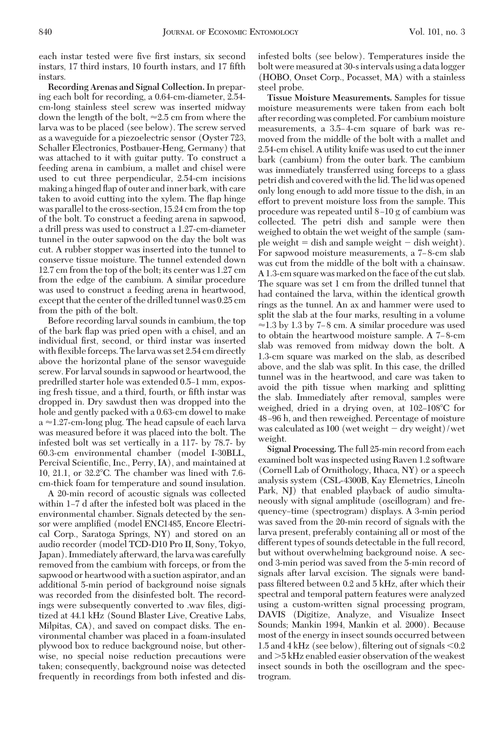each instar tested were five first instars, six second instars, 17 third instars, 10 fourth instars, and 17 fifth instars.

**Recording Arenas and Signal Collection.** In preparing each bolt for recording, a 0.64-cm-diameter, 2.54 cm-long stainless steel screw was inserted midway down the length of the bolt,  $\approx 2.5$  cm from where the larva was to be placed (see below). The screw served as a waveguide for a piezoelectric sensor (Oyster 723, Schaller Electronics, Postbauer-Heng, Germany) that was attached to it with guitar putty. To construct a feeding arena in cambium, a mallet and chisel were used to cut three perpendicular, 2.54-cm incisions making a hinged ßap of outer and inner bark, with care taken to avoid cutting into the xylem. The ßap hinge was parallel to the cross-section, 15.24 cm from the top of the bolt. To construct a feeding arena in sapwood, a drill press was used to construct a 1.27-cm-diameter tunnel in the outer sapwood on the day the bolt was cut. A rubber stopper was inserted into the tunnel to conserve tissue moisture. The tunnel extended down 12.7 cm from the top of the bolt; its center was 1.27 cm from the edge of the cambium. A similar procedure was used to construct a feeding arena in heartwood, except that the center of the drilled tunnel was 0.25 cm from the pith of the bolt.

Before recording larval sounds in cambium, the top of the bark ßap was pried open with a chisel, and an individual first, second, or third instar was inserted with flexible forceps. The larva was set 2.54 cm directly above the horizontal plane of the sensor waveguide screw. For larval sounds in sapwood or heartwood, the predrilled starter hole was extended 0.5–1 mm, exposing fresh tissue, and a third, fourth, or fifth instar was dropped in. Dry sawdust then was dropped into the hole and gently packed with a 0.63-cm dowel to make  $a \approx 1.27$ -cm-long plug. The head capsule of each larva was measured before it was placed into the bolt. The infested bolt was set vertically in a 117- by 78.7- by 60.3-cm environmental chamber (model I-30BLL, Percival Scientific, Inc., Perry, IA), and maintained at 10, 21.1, or 32.2-C. The chamber was lined with 7.6 cm-thick foam for temperature and sound insulation.

A 20-min record of acoustic signals was collected within 1–7 d after the infested bolt was placed in the environmental chamber. Signals detected by the sensor were amplified (model ENC1485, Encore Electrical Corp., Saratoga Springs, NY) and stored on an audio recorder (model TCD-D10 Pro II, Sony, Tokyo, Japan). Immediately afterward, the larva was carefully removed from the cambium with forceps, or from the sapwood or heartwood with a suction aspirator, and an additional 5-min period of background noise signals was recorded from the disinfested bolt. The recordings were subsequently converted to .wav files, digitized at 44.1 kHz (Sound Blaster Live, Creative Labs, Milpitas, CA), and saved on compact disks. The environmental chamber was placed in a foam-insulated plywood box to reduce background noise, but otherwise, no special noise reduction precautions were taken; consequently, background noise was detected frequently in recordings from both infested and disinfested bolts (see below). Temperatures inside the bolt were measured at 30-sintervals using a datalogger (HOBO, Onset Corp., Pocasset, MA) with a stainless steel probe.

**Tissue Moisture Measurements.** Samples for tissue moisture measurements were taken from each bolt after recording was completed. For cambium moisture measurements, a 3.5–4-cm square of bark was removed from the middle of the bolt with a mallet and 2.54-cm chisel. A utility knife was used to cut the inner bark (cambium) from the outer bark. The cambium was immediately transferred using forceps to a glass petri dish and covered with the lid. The lid was opened only long enough to add more tissue to the dish, in an effort to prevent moisture loss from the sample. This procedure was repeated until 8 Ð10 g of cambium was collected. The petri dish and sample were then weighed to obtain the wet weight of the sample (sample weight  $=$  dish and sample weight  $-$  dish weight). For sapwood moisture measurements, a 7–8-cm slab was cut from the middle of the bolt with a chainsaw. A 1.3-cm square was marked on the face of the cut slab. The square was set 1 cm from the drilled tunnel that had contained the larva, within the identical growth rings as the tunnel. An ax and hammer were used to split the slab at the four marks, resulting in a volume  $\approx$  1.3 by 1.3 by 7–8 cm. A similar procedure was used to obtain the heartwood moisture sample. A 7–8-cm slab was removed from midway down the bolt. A 1.3-cm square was marked on the slab, as described above, and the slab was split. In this case, the drilled tunnel was in the heartwood, and care was taken to avoid the pith tissue when marking and splitting the slab. Immediately after removal, samples were weighed, dried in a drying oven, at 102–108°C for 48 Ð96 h, and then reweighed. Percentage of moisture was calculated as 100 (wet weight  $-dry$  weight)/wet weight.

**Signal Processing.** The full 25-min record from each examined bolt was inspected using Raven 1.2 software (Cornell Lab of Ornithology, Ithaca, NY) or a speech analysis system (CSL-4300B, Kay Elemetrics, Lincoln Park, NJ) that enabled playback of audio simultaneously with signal amplitude (oscillogram) and frequency–time (spectrogram) displays. A 3-min period was saved from the 20-min record of signals with the larva present, preferably containing all or most of the different types of sounds detectable in the full record, but without overwhelming background noise. A second 3-min period was saved from the 5-min record of signals after larval excision. The signals were bandpass filtered between 0.2 and 5 kHz, after which their spectral and temporal pattern features were analyzed using a custom-written signal processing program, DAVIS (Digitize, Analyze, and Visualize Insect Sounds; Mankin 1994, Mankin et al. 2000). Because most of the energy in insect sounds occurred between 1.5 and 4 kHz (see below), filtering out of signals  $\leq 0.2$ and 5 kHz enabled easier observation of the weakest insect sounds in both the oscillogram and the spectrogram.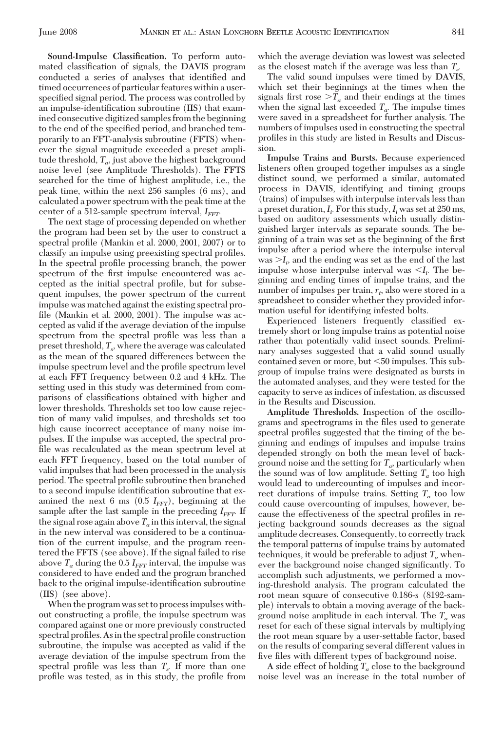mated classification of signals, the DAVIS program conducted a series of analyses that identified and timed occurrences of particular features within a userspecified signal period. The process was controlled by an impulse-identification subroutine (IIS) that examined consecutive digitized samples from the beginning to the end of the specified period, and branched temporarily to an FFT-analysis subroutine (FFTS) whenever the signal magnitude exceeded a preset amplitude threshold,  $T_{\alpha}$ , just above the highest background noise level (see Amplitude Thresholds). The FFTS searched for the time of highest amplitude, i.e., the peak time, within the next 256 samples (6 ms), and calculated a power spectrum with the peak time at the center of a 512-sample spectrum interval,  $I_{FFT}$ .

**Sound-Impulse Classification.** To perform auto-

The next stage of processing depended on whether the program had been set by the user to construct a spectral profile (Mankin et al. 2000, 2001, 2007) or to classify an impulse using preexisting spectral profiles. In the spectral profile processing branch, the power spectrum of the first impulse encountered was accepted as the initial spectral profile, but for subsequent impulses, the power spectrum of the current impulse was matched against the existing spectral profile (Mankin et al.  $2000$ ,  $2001$ ). The impulse was accepted as valid if the average deviation of the impulse spectrum from the spectral profile was less than a preset threshold, *Ts ,* where the average was calculated as the mean of the squared differences between the impulse spectrum level and the profile spectrum level at each FFT frequency between 0.2 and 4 kHz. The setting used in this study was determined from comparisons of classifications obtained with higher and lower thresholds. Thresholds set too low cause rejection of many valid impulses, and thresholds set too high cause incorrect acceptance of many noise impulses. If the impulse was accepted, the spectral profile was recalculated as the mean spectrum level at each FFT frequency, based on the total number of valid impulses that had been processed in the analysis period. The spectral profile subroutine then branched to a second impulse identification subroutine that examined the next 6 ms  $(0.5 I<sub>FFT</sub>)$ , beginning at the sample after the last sample in the preceding  $I_{FFT}$ . If the signal rose again above  $T_a$  in this interval, the signal in the new interval was considered to be a continuation of the current impulse, and the program reentered the FFTS (see above). If the signal failed to rise above  $T_a$  during the 0.5  $I_{FFT}$  interval, the impulse was considered to have ended and the program branched back to the original impulse-identification subroutine (IIS) (see above).

When the program was set to processimpulses without constructing a profile, the impulse spectrum was compared against one or more previously constructed spectral profiles. As in the spectral profile construction subroutine, the impulse was accepted as valid if the average deviation of the impulse spectrum from the spectral profile was less than  $T_s$ . If more than one profile was tested, as in this study, the profile from

The valid sound impulses were timed by DAVIS, which set their beginnings at the times when the signals first rose  $\sum a_i$  and their endings at the times when the signal last exceeded  $T_a$ . The impulse times were saved in a spreadsheet for further analysis. The numbers of impulses used in constructing the spectral profiles in this study are listed in Results and Discussion.

**Impulse Trains and Bursts.** Because experienced listeners often grouped together impulses as a single distinct sound, we performed a similar, automated process in DAVIS, identifying and timing groups (trains) of impulses with interpulse intervals less than a preset duration,*Ii .* For this study,*Ii* was set at 250 ms, based on auditory assessments which usually distinguished larger intervals as separate sounds. The beginning of a train was set as the beginning of the first impulse after a period where the interpulse interval  $\text{was} > I_i$ , and the ending was set as the end of the last impulse whose interpulse interval was  $\langle I_i \rangle$ . The beginning and ending times of impulse trains, and the number of impulses per train,  $r_t$ , also were stored in a spreadsheet to consider whether they provided information useful for identifying infested bolts.

Experienced listeners frequently classified extremely short or long impulse trains as potential noise rather than potentially valid insect sounds. Preliminary analyses suggested that a valid sound usually contained seven or more, but <50 impulses. This subgroup of impulse trains were designated as bursts in the automated analyses, and they were tested for the capacity to serve as indices of infestation, as discussed in the Results and Discussion.

**Amplitude Thresholds.** Inspection of the oscillograms and spectrograms in the files used to generate spectral profiles suggested that the timing of the beginning and endings of impulses and impulse trains depended strongly on both the mean level of background noise and the setting for *Ta,* particularly when the sound was of low amplitude. Setting *Ta* too high would lead to undercounting of impulses and incorrect durations of impulse trains. Setting  $T_a$  too low could cause overcounting of impulses, however, because the effectiveness of the spectral profiles in rejecting background sounds decreases as the signal amplitude decreases. Consequently, to correctly track the temporal patterns of impulse trains by automated techniques, it would be preferable to adjust  $T_a$  whenever the background noise changed significantly. To accomplish such adjustments, we performed a moving-threshold analysis. The program calculated the root mean square of consecutive 0.186-s (8192-sample) intervals to obtain a moving average of the background noise amplitude in each interval. The *Ta* was reset for each of these signal intervals by multiplying the root mean square by a user-settable factor, based on the results of comparing several different values in five files with different types of background noise.

A side effect of holding  $T_a$  close to the background noise level was an increase in the total number of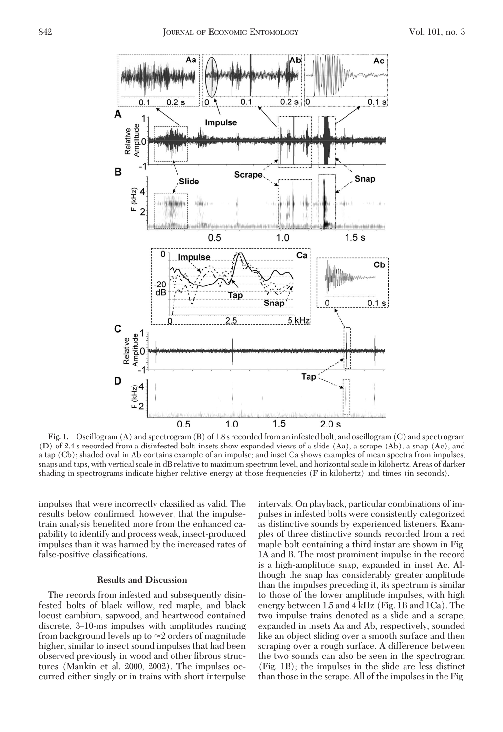

**Fig. 1.** Oscillogram (A) and spectrogram (B) of 1.8 s recorded from an infested bolt, and oscillogram (C) and spectrogram (D) of 2.4 s recorded from a disinfested bolt: insets show expanded views of a slide (Aa), a scrape (Ab), a snap (Ac), and a tap (Cb); shaded oval in Ab contains example of an impulse; and inset Ca shows examples of mean spectra from impulses, snaps and taps, with vertical scale in dB relative to maximum spectrum level, and horizontal scale in kilohertz. Areas of darker shading in spectrograms indicate higher relative energy at those frequencies (F in kilohertz) and times (in seconds).

impulses that were incorrectly classified as valid. The results below confirmed, however, that the impulsetrain analysis benefited more from the enhanced capability to identify and process weak, insect-produced impulses than it was harmed by the increased rates of false-positive classifications.

### **Results and Discussion**

The records from infested and subsequently disinfested bolts of black willow, red maple, and black locust cambium, sapwood, and heartwood contained discrete, 3–10-ms impulses with amplitudes ranging from background levels up to  $\approx$  2 orders of magnitude higher, similar to insect sound impulses that had been observed previously in wood and other fibrous structures (Mankin et al. 2000, 2002). The impulses occurred either singly or in trains with short interpulse intervals. On playback, particular combinations of impulses in infested bolts were consistently categorized as distinctive sounds by experienced listeners. Examples of three distinctive sounds recorded from a red maple bolt containing a third instar are shown in Fig. 1A and B. The most prominent impulse in the record is a high-amplitude snap, expanded in inset Ac. Although the snap has considerably greater amplitude than the impulses preceding it, its spectrum is similar to those of the lower amplitude impulses, with high energy between 1.5 and 4 kHz (Fig. 1B and 1Ca). The two impulse trains denoted as a slide and a scrape, expanded in insets Aa and Ab, respectively, sounded like an object sliding over a smooth surface and then scraping over a rough surface. A difference between the two sounds can also be seen in the spectrogram (Fig. 1B); the impulses in the slide are less distinct than those in the scrape. All of the impulses in the Fig.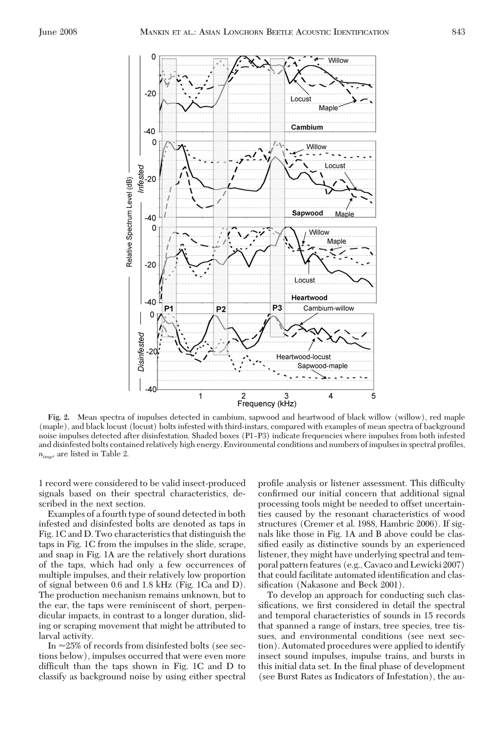

**Fig. 2.** Mean spectra of impulses detected in cambium, sapwood and heartwood of black willow (willow), red maple (maple), and black locust (locust) bolts infested with third-instars, compared with examples of mean spectra of background noise impulses detected after disinfestation. Shaded boxes (P1-P3) indicate frequencies where impulses from both infested and disinfested bolts contained relatively high energy. Environmental conditions and numbers of impulses in spectral profiles, *nimp,* are listed in Table 2.

1 record were considered to be valid insect-produced signals based on their spectral characteristics, described in the next section.

Examples of a fourth type of sound detected in both infested and disinfested bolts are denoted as taps in Fig. 1C and D. Two characteristics that distinguish the taps in Fig. 1C from the impulses in the slide, scrape, and snap in Fig. 1A are the relatively short durations of the taps, which had only a few occurrences of multiple impulses, and their relatively low proportion of signal between 0.6 and 1.8 kHz (Fig. 1Ca and D). The production mechanism remains unknown, but to the ear, the taps were reminiscent of short, perpendicular impacts, in contrast to a longer duration, sliding or scraping movement that might be attributed to larval activity.

In  $\approx$ 25% of records from disinfested bolts (see sections below), impulses occurred that were even more difficult than the taps shown in Fig. 1C and D to classify as background noise by using either spectral profile analysis or listener assessment. This difficulty confirmed our initial concern that additional signal processing tools might be needed to offset uncertainties caused by the resonant characteristics of wood structures (Cremer et al. 1988, Hambric 2006). If signals like those in Fig. 1A and B above could be classified easily as distinctive sounds by an experienced listener, they might have underlying spectral and temporal pattern features (e.g., Cavaco and Lewicki 2007) that could facilitate automated identification and classification (Nakasone and Beck 2001).

To develop an approach for conducting such classifications, we first considered in detail the spectral and temporal characteristics of sounds in 15 records that spanned a range of instars, tree species, tree tissues, and environmental conditions (see next section). Automated procedures were applied to identify insect sound impulses, impulse trains, and bursts in this initial data set. In the final phase of development (see Burst Rates as Indicators of Infestation), the au-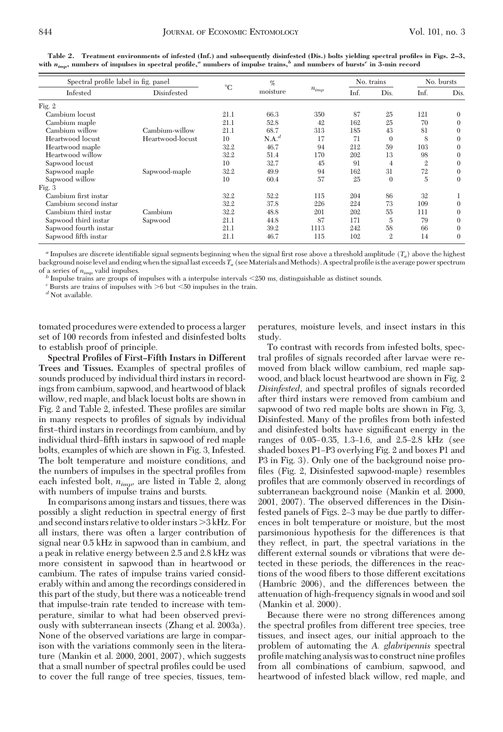| Spectral profile label in fig. panel |                  |             | %        |           | No. trains |                | No. bursts   |          |
|--------------------------------------|------------------|-------------|----------|-----------|------------|----------------|--------------|----------|
| Infested                             | Disinfested      | $^{\circ}C$ | moisture | $n_{imp}$ | Inf.       | Dis.           | Inf.         | Dis.     |
| Fig. 2                               |                  |             |          |           |            |                |              |          |
| Cambium locust                       |                  | 21.1        | 66.3     | 350       | 87         | 25             | 121          | $\Omega$ |
| Cambium maple                        |                  | 21.1        | 52.8     | 42        | 162        | 25             | 70           | $\Omega$ |
| Cambium willow                       | Cambium-willow   | 21.1        | 68.7     | 313       | 185        | 43             | 81           | $\theta$ |
| Heartwood locust                     | Heartwood-locust | 10          | $N.A.^d$ | 17        | 71         | $\Omega$       | 8            | $\Omega$ |
| Heartwood maple                      |                  | 32.2        | 46.7     | 94        | 212        | 59             | 103          | $\Omega$ |
| Heartwood willow                     |                  | 32.2        | 51.4     | 170       | 202        | 13             | 98           | $\Omega$ |
| Sapwood locust                       |                  | 10          | 32.7     | 45        | 91         | $\overline{4}$ | $\mathbf{2}$ | $\Omega$ |
| Sapwood maple                        | Sapwood-maple    | 32.2        | 49.9     | 94        | 162        | 31             | 72           | $\Omega$ |
| Sapwood willow                       |                  | 10          | 60.4     | 57        | 25         | $\theta$       | 5            | $\Omega$ |
| Fig. $3$                             |                  |             |          |           |            |                |              |          |
| Cambium first instar                 |                  | 32.2        | 52.2     | 115       | 204        | 86             | 32           |          |
| Cambium second instar                |                  | 32.2        | 37.8     | 226       | 224        | 73             | 109          | $\Omega$ |
| Cambium third instar                 | Cambium          | 32.2        | 48.8     | 201       | 202        | 55             | 111          | $\theta$ |
| Sapwood third instar                 | Sapwood          | 21.1        | 44.8     | 87        | 171        | 5              | 79           | $\theta$ |
| Sapwood fourth instar                |                  | 21.1        | 39.2     | 1113      | 242        | 58             | 66           | $\Omega$ |
| Sapwood fifth instar                 |                  | 21.1        | 46.7     | 115       | 102        | $\mathfrak{D}$ | 14           | $\Omega$ |

**Table 2. Treatment environments of infested (Inf.) and subsequently disinfested (Dis.) bolts yielding spectral profiles in Figs. 2–3, with** *nimp***, numbers of impulses in spectral profile,***<sup>a</sup>* **numbers of impulse trains,***<sup>b</sup>* **and numbers of bursts***<sup>c</sup>* **in 3-min record**

*a* Impulses are discrete identifiable signal segments beginning when the signal first rose above a threshold amplitude  $(T_a)$  above the highest background noise level and ending when the signal last exceeds *T<sub>a</sub>* (see Materials and Methods). A spectral profile is the average power spectrum of a series of  $n_{imp}$  valid impulses.

 $^b$  Impulse trains are groups of impulses with a interpulse intervals  $<$  250 ms, distinguishable as distinct sounds.  $^c$  Bursts are trains of impulses with  $>$  6 but  $<$  50 impulses in the train.  $^d$  Not available.

tomated procedures were extended to process a larger set of 100 records from infested and disinfested bolts to establish proof of principle.

**Spectral Profiles of First–Fifth Instars in Different** Trees and Tissues. Examples of spectral profiles of sounds produced by individual third instars in recordings from cambium, sapwood, and heartwood of black willow, red maple, and black locust bolts are shown in Fig. 2 and Table 2, infested. These profiles are similar in many respects to profiles of signals by individual first-third instars in recordings from cambium, and by individual third-fifth instars in sapwood of red maple bolts, examples of which are shown in Fig. 3, Infested. The bolt temperature and moisture conditions, and the numbers of impulses in the spectral profiles from each infested bolt, *nimp,* are listed in Table 2, along with numbers of impulse trains and bursts.

In comparisons among instars and tissues, there was possibly a slight reduction in spectral energy of first and second instars relative to older instars  $>3$  kHz. For all instars, there was often a larger contribution of signal near 0.5 kHz in sapwood than in cambium, and a peak in relative energy between 2.5 and 2.8 kHz was more consistent in sapwood than in heartwood or cambium. The rates of impulse trains varied considerably within and among the recordings considered in this part of the study, but there was a noticeable trend that impulse-train rate tended to increase with temperature, similar to what had been observed previously with subterranean insects (Zhang et al. 2003a). None of the observed variations are large in comparison with the variations commonly seen in the literature (Mankin et al. 2000, 2001, 2007), which suggests that a small number of spectral profiles could be used to cover the full range of tree species, tissues, tem-

peratures, moisture levels, and insect instars in this study.

To contrast with records from infested bolts, spectral profiles of signals recorded after larvae were removed from black willow cambium, red maple sapwood, and black locust heartwood are shown in Fig. 2 Disinfested, and spectral profiles of signals recorded after third instars were removed from cambium and sapwood of two red maple bolts are shown in Fig. 3, Disinfested. Many of the profiles from both infested and disinfested bolts have significant energy in the ranges of 0.05–0.35, 1.3–1.6, and 2.5–2.8 kHz (see shaded boxes P1–P3 overlying Fig. 2 and boxes P1 and P3 in Fig. 3). Only one of the background noise profiles (Fig. 2, Disinfested sapwood-maple) resembles profiles that are commonly observed in recordings of subterranean background noise (Mankin et al. 2000, 2001, 2007). The observed differences in the Disinfested panels of Figs. 2–3 may be due partly to differences in bolt temperature or moisture, but the most parsimonious hypothesis for the differences is that they reßect, in part, the spectral variations in the different external sounds or vibrations that were detected in these periods, the differences in the reactions of the wood fibers to those different excitations (Hambric 2006), and the differences between the attenuation of high-frequency signals in wood and soil (Mankin et al. 2000).

Because there were no strong differences among the spectral profiles from different tree species, tree tissues, and insect ages, our initial approach to the problem of automating the *A. glabripennis* spectral profile matching analysis was to construct nine profiles from all combinations of cambium, sapwood, and heartwood of infested black willow, red maple, and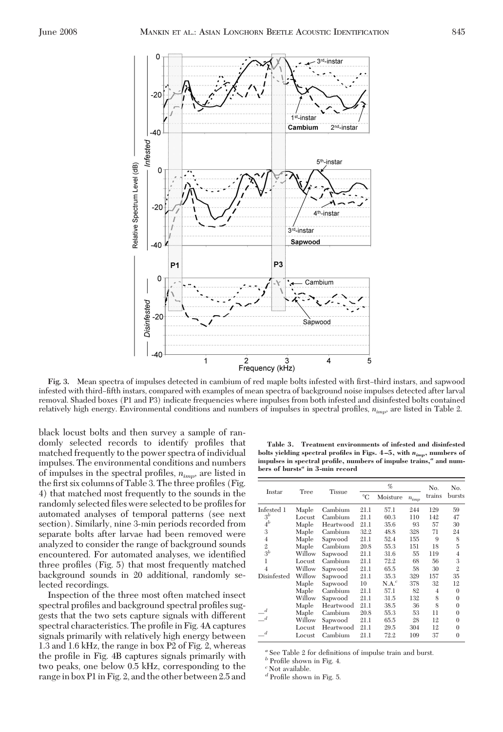

Fig. 3. Mean spectra of impulses detected in cambium of red maple bolts infested with first-third instars, and sapwood infested with third-fifth instars, compared with examples of mean spectra of background noise impulses detected after larval removal. Shaded boxes (P1 and P3) indicate frequencies where impulses from both infested and disinfested bolts contained relatively high energy. Environmental conditions and numbers of impulses in spectral profiles,  $n_{imp}$ , are listed in Table 2.

black locust bolts and then survey a sample of randomly selected records to identify profiles that matched frequently to the power spectra of individual impulses. The environmental conditions and numbers of impulses in the spectral profiles,  $n_{imp}$ , are listed in the first six columns of Table 3. The three profiles (Fig. 4) that matched most frequently to the sounds in the randomly selected files were selected to be profiles for automated analyses of temporal patterns (see next section). Similarly, nine 3-min periods recorded from separate bolts after larvae had been removed were analyzed to consider the range of background sounds encountered. For automated analyses, we identified three profiles (Fig. 5) that most frequently matched background sounds in 20 additional, randomly selected recordings.

Inspection of the three most often matched insect spectral profiles and background spectral profiles suggests that the two sets capture signals with different spectral characteristics. The profile in Fig. 4A captures signals primarily with relatively high energy between 1.3 and 1.6 kHz, the range in box P2 of Fig. 2, whereas the profile in Fig. 4B captures signals primarily with two peaks, one below 0.5 kHz, corresponding to the range in box P1 in Fig. 2, and the other between 2.5 and

**Table 3. Treatment environments of infested and disinfested bolts yielding spectral profiles in Figs. 4 –5, with** *nimp***, numbers of impulses in spectral profile, numbers of impulse trains,***<sup>a</sup>* **and numbers of bursts***<sup>a</sup>* **in 3-min record**

| Instar                      | Tree   |               |             | %        |           | No.    | No.            |  |
|-----------------------------|--------|---------------|-------------|----------|-----------|--------|----------------|--|
|                             |        | <b>Tissue</b> | $^{\circ}C$ | Moisture | $n_{imp}$ | trains | bursts         |  |
| Infested 1                  | Maple  | Cambium       | 21.1        | 57.1     | 244       | 129    | 59             |  |
| $3^b$                       | Locust | Cambium       | 21.1        | 60.3     | 110       | 142    | 47             |  |
| $\overset{\cdot }{4}{}^{b}$ | Maple  | Heartwood     | 21.1        | 35.6     | 93        | 57     | 30             |  |
| 3                           | Maple  | Cambium       | 32.2        | 48.8     | 328       | 71     | 24             |  |
| $\overline{4}$              | Maple  | Sapwood       | 21.1        | 52.4     | 155       | 9      | 8              |  |
| $\mathfrak{2}$              | Maple  | Cambium       | 20.8        | 55.3     | 151       | 18     | 5              |  |
| 3 <sup>b</sup>              | Willow | Sapwood       | 21.1        | 31.6     | 55        | 119    | $\overline{4}$ |  |
| 1                           | Locust | Cambium       | 21.1        | 72.2     | 68        | 56     | 3              |  |
| $\overline{4}$              | Willow | Sapwood       | 21.1        | 65.5     | 58        | 30     | $\mathbf{2}$   |  |
| Disinfested                 | Willow | Sapwood       | 21.1        | 35.3     | 329       | 157    | 35             |  |
|                             | Maple  | Sapwood       | 10          | $N.A.^c$ | 378       | 32     | 12             |  |
|                             | Maple  | Cambium       | 21.1        | 57.1     | 82        | 4      | $\mathbf{0}$   |  |
|                             | Willow | Sapwood       | 21.1        | 31.5     | 132       | 8      | $\theta$       |  |
|                             | Maple  | Heartwood     | 21.1        | 38.5     | 36        | 8      | $\theta$       |  |
|                             | Maple  | Cambium       | 20.8        | 55.3     | 53        | 11     | $\mathbf{0}$   |  |
|                             | Willow | Sapwood       | 21.1        | 65.5     | 28        | 12     | $\mathbf{0}$   |  |
|                             | Locust | Heartwood     | 21.1        | 29.5     | 304       | 12     | $\Omega$       |  |
| d                           | Locust | Cambium       | 21.1        | 72.2     | 109       | 37     | $\theta$       |  |

<sup>a</sup> See Table 2 for definitions of impulse train and burst.

 $^b$  Profile shown in Fig. 4.

<sup>*c*</sup> Not available.

 $\ensuremath{\mathnormal{^d}}$  Profile shown in Fig. 5.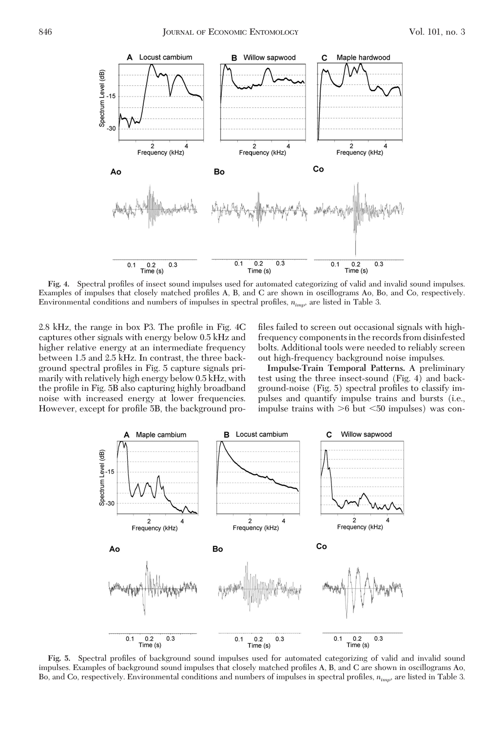

Fig. 4. Spectral profiles of insect sound impulses used for automated categorizing of valid and invalid sound impulses. Examples of impulses that closely matched profiles A, B, and C are shown in oscillograms Ao, Bo, and Co, respectively. Environmental conditions and numbers of impulses in spectral profiles,  $n_{imp}$ , are listed in Table 3.

2.8 kHz, the range in box P3. The profile in Fig. 4C captures other signals with energy below 0.5 kHz and higher relative energy at an intermediate frequency between 1.5 and 2.5 kHz. In contrast, the three background spectral profiles in Fig. 5 capture signals primarily with relatively high energy below 0.5 kHz, with the profile in Fig. 5B also capturing highly broadband noise with increased energy at lower frequencies. However, except for profile 5B, the background profiles failed to screen out occasional signals with highfrequency components in the records from disinfested bolts. Additional tools were needed to reliably screen out high-frequency background noise impulses.

**Impulse-Train Temporal Patterns.** A preliminary test using the three insect-sound (Fig. 4) and background-noise (Fig. 5) spectral profiles to classify impulses and quantify impulse trains and bursts (i.e., impulse trains with  $>6$  but  $<50$  impulses) was con-



**Fig. 5.** Spectral profiles of background sound impulses used for automated categorizing of valid and invalid sound impulses. Examples of background sound impulses that closely matched profiles A, B, and C are shown in oscillograms Ao, Bo, and Co, respectively. Environmental conditions and numbers of impulses in spectral profiles,  $n_{imp}$ , are listed in Table 3.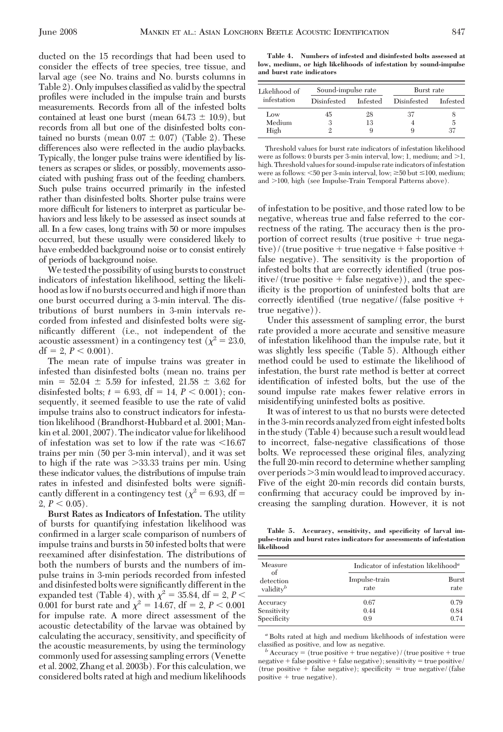ducted on the 15 recordings that had been used to consider the effects of tree species, tree tissue, and larval age (see No. trains and No. bursts columns in Table 2). Only impulses classified as valid by the spectral profiles were included in the impulse train and bursts measurements. Records from all of the infested bolts contained at least one burst (mean  $64.73 \pm 10.9$ ), but records from all but one of the disinfested bolts contained no bursts (mean  $0.07 \pm 0.07$ ) (Table 2). These differences also were reflected in the audio playbacks. Typically, the longer pulse trains were identified by listeners as scrapes or slides, or possibly, movements associated with pushing frass out of the feeding chambers. Such pulse trains occurred primarily in the infested rather than disinfested bolts. Shorter pulse trains were more difficult for listeners to interpret as particular behaviors and less likely to be assessed as insect sounds at all. In a few cases, long trains with 50 or more impulses occurred, but these usually were considered likely to have embedded background noise or to consist entirely of periods of background noise.

We tested the possibility of using bursts to construct indicators of infestation likelihood, setting the likelihood as low if no bursts occurred and high if more than one burst occurred during a 3-min interval. The distributions of burst numbers in 3-min intervals recorded from infested and disinfested bolts were significantly different (i.e., not independent of the acoustic assessment) in a contingency test ( $\chi^2 = 23.0$ ,  $df = 2, P < 0.001$ .

The mean rate of impulse trains was greater in infested than disinfested bolts (mean no. trains per min =  $52.04 \pm 5.59$  for infested,  $21.58 \pm 3.62$  for disinfested bolts;  $t = 6.93$ , df = 14,  $P < 0.001$ ); consequently, it seemed feasible to use the rate of valid impulse trains also to construct indicators for infestation likelihood (Brandhorst-Hubbard et al. 2001; Mankin et al. 2001, 2007). The indicator value for likelihood of infestation was set to low if the rate was  $\leq 16.67$ trains per min (50 per 3-min interval), and it was set to high if the rate was 33.33 trains per min. Using these indicator values, the distributions of impulse train rates in infested and disinfested bolts were significantly different in a contingency test ( $\chi^2$  = 6.93, df =  $2, P < 0.05$ ).

**Burst Rates as Indicators of Infestation.** The utility of bursts for quantifying infestation likelihood was confirmed in a larger scale comparison of numbers of impulse trains and bursts in 50 infested bolts that were reexamined after disinfestation. The distributions of both the numbers of bursts and the numbers of impulse trains in 3-min periods recorded from infested and disinfested bolts were significantly different in the expanded test (Table 4), with  $\chi^2 = 35.84$ , df = 2, *P* < 0.001 for burst rate and  $\chi^2 = 14.67$ , df = 2, *P* < 0.001 for impulse rate. A more direct assessment of the acoustic detectability of the larvae was obtained by calculating the accuracy, sensitivity, and specificity of the acoustic measurements, by using the terminology commonly used for assessing sampling errors (Venette et al. 2002, Zhang et al. 2003b). For this calculation, we considered bolts rated at high and medium likelihoods

**Table 4. Numbers of infested and disinfested bolts assessed at low, medium, or high likelihoods of infestation by sound-impulse and burst rate indicators**

| Likelihood of<br>infestation | Sound-impulse rate |          | Burst rate  |          |  |
|------------------------------|--------------------|----------|-------------|----------|--|
|                              | Disinfested        | Infested | Disinfested | Infested |  |
| Low                          | 45                 | 28       | 37          |          |  |
| Medium                       | 3                  | 13       |             | 5        |  |
| High                         |                    |          |             | 37       |  |

Threshold values for burst rate indicators of infestation likelihood were as follows: 0 bursts per 3-min interval, low; 1, medium; and  $>1$ , high. Threshold values for sound-impulse rate indicators of infestation were as follows: <50 per 3-min interval, low;  $\geq$ 50 but  $\leq$ 100, medium; and >100, high (see Impulse-Train Temporal Patterns above).

of infestation to be positive, and those rated low to be negative, whereas true and false referred to the correctness of the rating. The accuracy then is the proportion of correct results (true positive  $+$  true negative)/(true positive  $+$  true negative  $+$  false positive  $+$ false negative). The sensitivity is the proportion of infested bolts that are correctly identified (true positive/(true positive  $+$  false negative)), and the specificity is the proportion of uninfested bolts that are correctly identified (true negative/(false positive  $+$ true negative)).

Under this assessment of sampling error, the burst rate provided a more accurate and sensitive measure of infestation likelihood than the impulse rate, but it was slightly less specific (Table 5). Although either method could be used to estimate the likelihood of infestation, the burst rate method is better at correct identification of infested bolts, but the use of the sound impulse rate makes fewer relative errors in misidentifying uninfested bolts as positive.

It was of interest to us that no bursts were detected in the 3-min records analyzed from eight infested bolts in the study (Table 4) because such a result would lead to incorrect, false-negative classifications of those bolts. We reprocessed these original files, analyzing the full 20-min record to determine whether sampling over periods $>3$  min would lead to improved accuracy. Five of the eight 20-min records did contain bursts, confirming that accuracy could be improved by increasing the sampling duration. However, it is not

**Table 5. Accuracy, sensitivity, and specificity of larval impulse-train and burst rates indicators for assessments of infestation likelihood**

| Indicator of infestation likelihood <sup>a</sup> |                      |  |  |
|--------------------------------------------------|----------------------|--|--|
| Impulse-train<br>rate                            | Burst<br>rate        |  |  |
| 0.67<br>0.44                                     | 0.79<br>0.84<br>0.74 |  |  |
|                                                  | 0.9                  |  |  |

*<sup>a</sup>* Bolts rated at high and medium likelihoods of infestation were

classified as positive, and low as negative. *b* Accuracy = (true positive  $+$  true negative)/(true positive  $+$  true  $negative + false positive + false negative$ ; sensitivity = true positive/ (true positive  $+$  false negative); specificity  $=$  true negative/(false  $positive + true negative$ .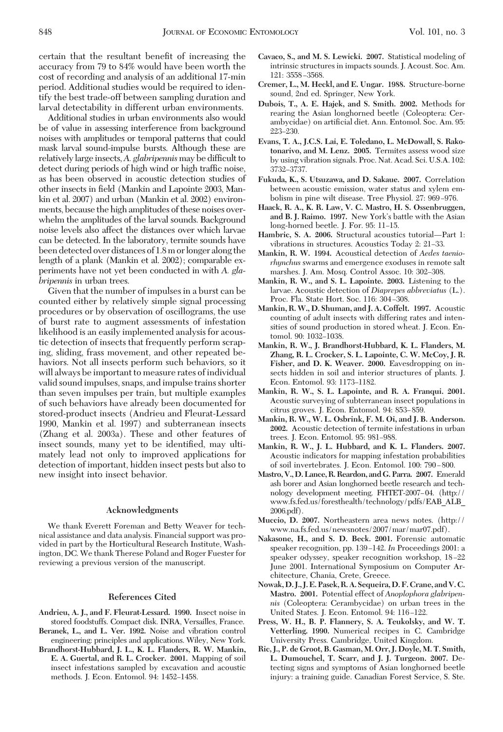certain that the resultant benefit of increasing the accuracy from 79 to 84% would have been worth the cost of recording and analysis of an additional 17-min period. Additional studies would be required to identify the best trade-off between sampling duration and larval detectability in different urban environments.

Additional studies in urban environments also would be of value in assessing interference from background noises with amplitudes or temporal patterns that could mask larval sound-impulse bursts. Although these are relatively large insects, A. *glabripennis* may be difficult to detect during periods of high wind or high traffic noise, as has been observed in acoustic detection studies of other insects in field (Mankin and Lapointe 2003, Mankin et al. 2007) and urban (Mankin et al. 2002) environments, because the high amplitudes of these noises overwhelm the amplitudes of the larval sounds. Background noise levels also affect the distances over which larvae can be detected. In the laboratory, termite sounds have been detected over distances of 1.8m orlonger along the length of a plank (Mankin et al. 2002); comparable experiments have not yet been conducted in with *A. glabripennis* in urban trees.

Given that the number of impulses in a burst can be counted either by relatively simple signal processing procedures or by observation of oscillograms, the use of burst rate to augment assessments of infestation likelihood is an easily implemented analysis for acoustic detection of insects that frequently perform scraping, sliding, frass movement, and other repeated behaviors. Not all insects perform such behaviors, so it will always be important to measure rates of individual valid sound impulses, snaps, and impulse trains shorter than seven impulses per train, but multiple examples of such behaviors have already been documented for stored-product insects (Andrieu and Fleurat-Lessard 1990, Mankin et al. 1997) and subterranean insects (Zhang et al. 2003a). These and other features of insect sounds, many yet to be identified, may ultimately lead not only to improved applications for detection of important, hidden insect pests but also to new insight into insect behavior.

# **Acknowledgments**

We thank Everett Foreman and Betty Weaver for technical assistance and data analysis. Financial support was provided in part by the Horticultural Research Institute, Washington, DC. We thank Therese Poland and Roger Fuester for reviewing a previous version of the manuscript.

# **References Cited**

- **Andrieu, A. J., and F. Fleurat-Lessard. 1990.** Insect noise in stored foodstuffs. Compact disk. INRA, Versailles, France.
- **Beranek, L., and L. Ver. 1992.** Noise and vibration control engineering: principles and applications. Wiley, New York.
- **Brandhorst-Hubbard, J. L., K. L. Flanders, R. W. Mankin, E. A. Guertal, and R. L. Crocker. 2001.** Mapping of soil insect infestations sampled by excavation and acoustic methods. J. Econ. Entomol. 94: 1452–1458.
- **Cavaco, S., and M. S. Lewicki. 2007.** Statistical modeling of intrinsic structures in impacts sounds. J. Acoust. Soc. Am. 121: 3558-3568.
- **Cremer, L., M. Heckl, and E. Ungar. 1988.** Structure-borne sound, 2nd ed. Springer, New York.
- **Dubois, T., A. E. Hajek, and S. Smith. 2002.** Methods for rearing the Asian longhorned beetle (Coleoptera: Cerambycidae) on artificial diet. Ann. Entomol. Soc. Am. 95: 223-230.
- **Evans, T. A., J.C.S. Lai, E. Toledano, L. McDowall, S. Rakotonarivo, and M. Lenz. 2005.** Termites assess wood size by using vibration signals. Proc. Nat. Acad. Sci. U.S.A. 102: 3732–3737.
- **Fukuda, K., S. Utsuzawa, and D. Sakaue. 2007.** Correlation between acoustic emission, water status and xylem embolism in pine wilt disease. Tree Physiol. 27: 969-976.
- **Haack, R. A., K. R. Law, V. C. Mastro, H. S. Ossenbruggen,** and **B. J. Raimo. 1997.** New York's battle with the Asian long-horned beetle. J. For. 95: 11–15.
- **Hambric, S. A. 2006.** Structural acoustics tutorial—Part 1: vibrations in structures. Acoustics Today 2: 21–33.
- **Mankin, R. W. 1994.** Acoustical detection of *Aedes taeniorhynchus* swarms and emergence exoduses in remote salt marshes. J. Am. Mosq. Control Assoc. 10: 302-308.
- **Mankin, R. W., and S. L. Lapointe. 2003.** Listening to the larvae. Acoustic detection of *Diaprepes abbreviatus* (L.). Proc. Fla. State Hort. Soc. 116: 304-308.
- **Mankin, R. W., D. Shuman, and J. A. Coffelt. 1997.** Acoustic counting of adult insects with differing rates and intensities of sound production in stored wheat. J. Econ. Entomol. 90: 1032-1038.
- **Mankin, R. W., J. Brandhorst-Hubbard, K. L. Flanders, M. Zhang, R. L. Crocker, S. L. Lapointe, C. W. McCoy, J. R. Fisher, and D. K. Weaver. 2000.** Eavesdropping on insects hidden in soil and interior structures of plants. J. Econ. Entomol. 93: 1173-1182.
- **Mankin, R. W., S. L. Lapointe, and R. A. Franqui. 2001.** Acoustic surveying of subterranean insect populations in citrus groves. J. Econ. Entomol. 94: 853-859.
- **Mankin, R. W., W. L. Osbrink, F. M. Oi, and J. B. Anderson. 2002.** Acoustic detection of termite infestations in urban trees. J. Econ. Entomol. 95: 981-988.
- **Mankin, R. W., J. L. Hubbard, and K. L. Flanders. 2007.** Acoustic indicators for mapping infestation probabilities of soil invertebrates. J. Econ. Entomol. 100: 790-800.
- **Mastro, V., D. Lance, R. Reardon, and G. Parra. 2007.** Emerald ash borer and Asian longhorned beetle research and technology development meeting. FHTET-2007-04. (http:// www.fs.fed.us/foresthealth/technology/pdfs/EAB\_ALB\_ 2006.pdf).
- **Muccio, D. 2007.** Northeastern area news notes. (http:// www.na.fs.fed.us/newsnotes/2007/mar/mar07.pdf).
- **Nakasone, H., and S. D. Beck. 2001.** Forensic automatic speaker recognition, pp. 139–142. *In* Proceedings 2001: a speaker odyssey, speaker recognition workshop, 18–22 June 2001. International Symposium on Computer Architecture, Chania, Crete, Greece.
- **Nowak, D. J., J. E. Pasek, R. A. Sequeira, D. F. Crane, and V. C. Mastro. 2001.** Potential effect of *Anoplophora glabripennis* (Coleoptera: Cerambycidae) on urban trees in the United States. J. Econ. Entomol. 94: 116-122.
- **Press, W. H., B. P. Flannery, S. A. Teukolsky, and W. T. Vetterling. 1990.** Numerical recipes in C. Cambridge University Press. Cambridge, United Kingdom.
- **Ric, J., P. de Groot, B. Gasman, M. Orr, J. Doyle, M. T. Smith, L. Dumouchel, T. Scarr, and J. J. Turgeon. 2007.** Detecting signs and symptoms of Asian longhorned beetle injury: a training guide. Canadian Forest Service, S. Ste.